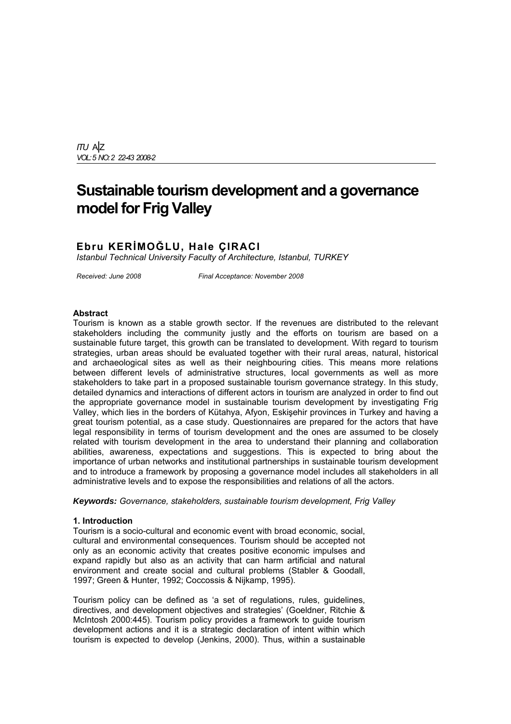*ITU* A|Z *VOL:5 NO: 2 22-43 2008-2*

# **Sustainable tourism development and a governance model for Frig Valley**

# **Ebru KERİMOĞLU, Hale ÇIRACI**

*Istanbul Technical University Faculty of Architecture, Istanbul, TURKEY* 

*Received: June 2008 Final Acceptance: November 2008*

#### **Abstract**

Tourism is known as a stable growth sector. If the revenues are distributed to the relevant stakeholders including the community justly and the efforts on tourism are based on a sustainable future target, this growth can be translated to development. With regard to tourism strategies, urban areas should be evaluated together with their rural areas, natural, historical and archaeological sites as well as their neighbouring cities. This means more relations between different levels of administrative structures, local governments as well as more stakeholders to take part in a proposed sustainable tourism governance strategy. In this study, detailed dynamics and interactions of different actors in tourism are analyzed in order to find out the appropriate governance model in sustainable tourism development by investigating Frig Valley, which lies in the borders of Kütahya, Afyon, Eskişehir provinces in Turkey and having a great tourism potential, as a case study. Questionnaires are prepared for the actors that have legal responsibility in terms of tourism development and the ones are assumed to be closely related with tourism development in the area to understand their planning and collaboration abilities, awareness, expectations and suggestions. This is expected to bring about the importance of urban networks and institutional partnerships in sustainable tourism development and to introduce a framework by proposing a governance model includes all stakeholders in all administrative levels and to expose the responsibilities and relations of all the actors.

*Keywords: Governance, stakeholders, sustainable tourism development, Frig Valley* 

#### **1. Introduction**

Tourism is a socio-cultural and economic event with broad economic, social, cultural and environmental consequences. Tourism should be accepted not only as an economic activity that creates positive economic impulses and expand rapidly but also as an activity that can harm artificial and natural environment and create social and cultural problems (Stabler & Goodall, 1997; Green & Hunter, 1992; Coccossis & Nijkamp, 1995).

Tourism policy can be defined as 'a set of regulations, rules, guidelines, directives, and development objectives and strategies' (Goeldner, Ritchie & McIntosh 2000:445). Tourism policy provides a framework to guide tourism development actions and it is a strategic declaration of intent within which tourism is expected to develop (Jenkins, 2000). Thus, within a sustainable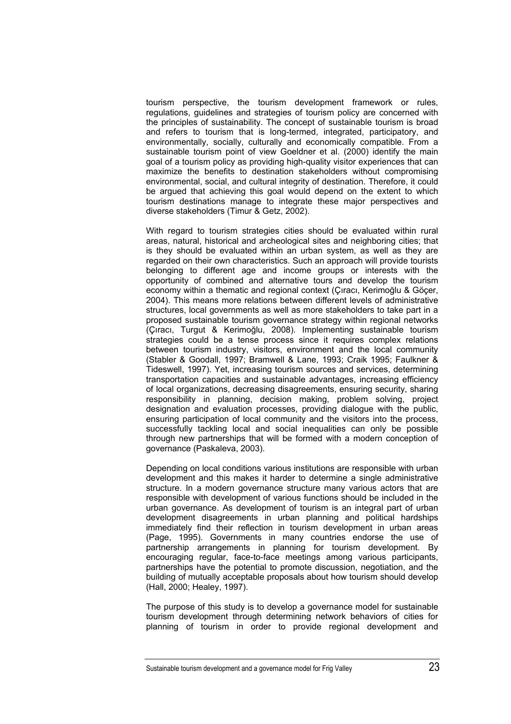tourism perspective, the tourism development framework or rules, regulations, guidelines and strategies of tourism policy are concerned with the principles of sustainability. The concept of sustainable tourism is broad and refers to tourism that is long-termed, integrated, participatory, and environmentally, socially, culturally and economically compatible. From a sustainable tourism point of view Goeldner et al. (2000) identify the main goal of a tourism policy as providing high-quality visitor experiences that can maximize the benefits to destination stakeholders without compromising environmental, social, and cultural integrity of destination. Therefore, it could be argued that achieving this goal would depend on the extent to which tourism destinations manage to integrate these major perspectives and diverse stakeholders (Timur & Getz, 2002).

With regard to tourism strategies cities should be evaluated within rural areas, natural, historical and archeological sites and neighboring cities; that is they should be evaluated within an urban system, as well as they are regarded on their own characteristics. Such an approach will provide tourists belonging to different age and income groups or interests with the opportunity of combined and alternative tours and develop the tourism economy within a thematic and regional context (Çıracı, Kerimoğlu & Göçer, 2004). This means more relations between different levels of administrative structures, local governments as well as more stakeholders to take part in a proposed sustainable tourism governance strategy within regional networks (Çıracı, Turgut & Kerimoğlu, 2008). Implementing sustainable tourism strategies could be a tense process since it requires complex relations between tourism industry, visitors, environment and the local community (Stabler & Goodall, 1997; Bramwell & Lane, 1993; Craik 1995; Faulkner & Tideswell, 1997). Yet, increasing tourism sources and services, determining transportation capacities and sustainable advantages, increasing efficiency of local organizations, decreasing disagreements, ensuring security, sharing responsibility in planning, decision making, problem solving, project designation and evaluation processes, providing dialogue with the public, ensuring participation of local community and the visitors into the process, successfully tackling local and social inequalities can only be possible through new partnerships that will be formed with a modern conception of governance (Paskaleva, 2003).

Depending on local conditions various institutions are responsible with urban development and this makes it harder to determine a single administrative structure. In a modern governance structure many various actors that are responsible with development of various functions should be included in the urban governance. As development of tourism is an integral part of urban development disagreements in urban planning and political hardships immediately find their reflection in tourism development in urban areas (Page, 1995). Governments in many countries endorse the use of partnership arrangements in planning for tourism development. By encouraging regular, face-to-face meetings among various participants, partnerships have the potential to promote discussion, negotiation, and the building of mutually acceptable proposals about how tourism should develop (Hall, 2000; Healey, 1997).

The purpose of this study is to develop a governance model for sustainable tourism development through determining network behaviors of cities for planning of tourism in order to provide regional development and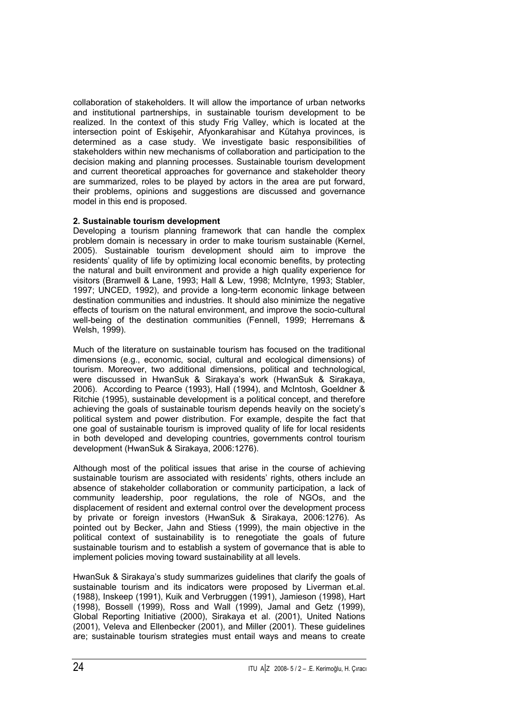collaboration of stakeholders. It will allow the importance of urban networks and institutional partnerships, in sustainable tourism development to be realized. In the context of this study Frig Valley, which is located at the intersection point of Eskişehir, Afyonkarahisar and Kütahya provinces, is determined as a case study. We investigate basic responsibilities of stakeholders within new mechanisms of collaboration and participation to the decision making and planning processes. Sustainable tourism development and current theoretical approaches for governance and stakeholder theory are summarized, roles to be played by actors in the area are put forward, their problems, opinions and suggestions are discussed and governance model in this end is proposed.

# **2. Sustainable tourism development**

Developing a tourism planning framework that can handle the complex problem domain is necessary in order to make tourism sustainable (Kernel, 2005). Sustainable tourism development should aim to improve the residents' quality of life by optimizing local economic benefits, by protecting the natural and built environment and provide a high quality experience for visitors (Bramwell & Lane, 1993; Hall & Lew, 1998; McIntyre, 1993; Stabler, 1997; UNCED, 1992), and provide a long-term economic linkage between destination communities and industries. It should also minimize the negative effects of tourism on the natural environment, and improve the socio-cultural well-being of the destination communities (Fennell, 1999; Herremans & Welsh, 1999).

Much of the literature on sustainable tourism has focused on the traditional dimensions (e.g., economic, social, cultural and ecological dimensions) of tourism. Moreover, two additional dimensions, political and technological, were discussed in HwanSuk & Sirakaya's work (HwanSuk & Sirakaya, 2006). According to Pearce (1993), Hall (1994), and McIntosh, Goeldner & Ritchie (1995), sustainable development is a political concept, and therefore achieving the goals of sustainable tourism depends heavily on the society's political system and power distribution. For example, despite the fact that one goal of sustainable tourism is improved quality of life for local residents in both developed and developing countries, governments control tourism development (HwanSuk & Sirakaya, 2006:1276).

Although most of the political issues that arise in the course of achieving sustainable tourism are associated with residents' rights, others include an absence of stakeholder collaboration or community participation, a lack of community leadership, poor regulations, the role of NGOs, and the displacement of resident and external control over the development process by private or foreign investors (HwanSuk & Sirakaya, 2006:1276). As pointed out by Becker, Jahn and Stiess (1999), the main objective in the political context of sustainability is to renegotiate the goals of future sustainable tourism and to establish a system of governance that is able to implement policies moving toward sustainability at all levels.

HwanSuk & Sirakaya's study summarizes guidelines that clarify the goals of sustainable tourism and its indicators were proposed by Liverman et.al. (1988), Inskeep (1991), Kuik and Verbruggen (1991), Jamieson (1998), Hart (1998), Bossell (1999), Ross and Wall (1999), Jamal and Getz (1999), Global Reporting Initiative (2000), Sirakaya et al. (2001), United Nations (2001), Veleva and Ellenbecker (2001), and Miller (2001). These guidelines are; sustainable tourism strategies must entail ways and means to create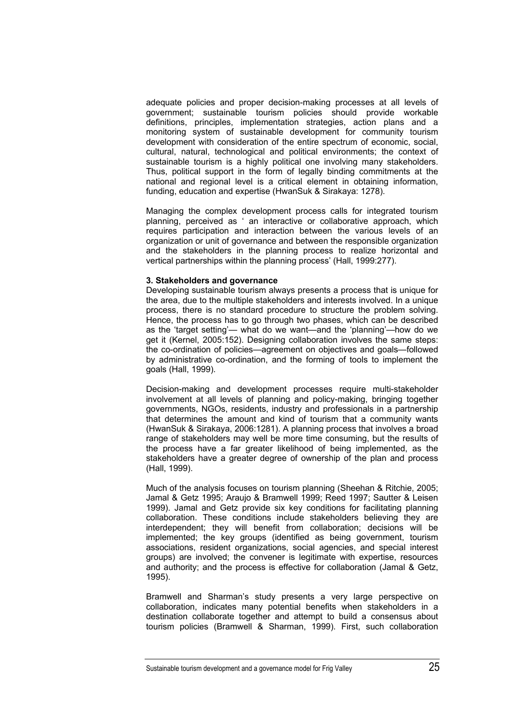adequate policies and proper decision-making processes at all levels of government; sustainable tourism policies should provide workable definitions, principles, implementation strategies, action plans and a monitoring system of sustainable development for community tourism development with consideration of the entire spectrum of economic, social, cultural, natural, technological and political environments; the context of sustainable tourism is a highly political one involving many stakeholders. Thus, political support in the form of legally binding commitments at the national and regional level is a critical element in obtaining information, funding, education and expertise (HwanSuk & Sirakaya: 1278).

Managing the complex development process calls for integrated tourism planning, perceived as ' an interactive or collaborative approach, which requires participation and interaction between the various levels of an organization or unit of governance and between the responsible organization and the stakeholders in the planning process to realize horizontal and vertical partnerships within the planning process' (Hall, 1999:277).

#### **3. Stakeholders and governance**

Developing sustainable tourism always presents a process that is unique for the area, due to the multiple stakeholders and interests involved. In a unique process, there is no standard procedure to structure the problem solving. Hence, the process has to go through two phases, which can be described as the 'target setting'— what do we want—and the 'planning'—how do we get it (Kernel, 2005:152). Designing collaboration involves the same steps: the co-ordination of policies—agreement on objectives and goals—followed by administrative co-ordination, and the forming of tools to implement the goals (Hall, 1999).

Decision-making and development processes require multi-stakeholder involvement at all levels of planning and policy-making, bringing together governments, NGOs, residents, industry and professionals in a partnership that determines the amount and kind of tourism that a community wants (HwanSuk & Sirakaya, 2006:1281). A planning process that involves a broad range of stakeholders may well be more time consuming, but the results of the process have a far greater likelihood of being implemented, as the stakeholders have a greater degree of ownership of the plan and process (Hall, 1999).

Much of the analysis focuses on tourism planning (Sheehan & Ritchie, 2005; Jamal & Getz 1995; Araujo & Bramwell 1999; Reed 1997; Sautter & Leisen 1999). Jamal and Getz provide six key conditions for facilitating planning collaboration. These conditions include stakeholders believing they are interdependent; they will benefit from collaboration; decisions will be implemented; the key groups (identified as being government, tourism associations, resident organizations, social agencies, and special interest groups) are involved; the convener is legitimate with expertise, resources and authority; and the process is effective for collaboration (Jamal & Getz, 1995).

Bramwell and Sharman's study presents a very large perspective on collaboration, indicates many potential benefits when stakeholders in a destination collaborate together and attempt to build a consensus about tourism policies (Bramwell & Sharman, 1999). First, such collaboration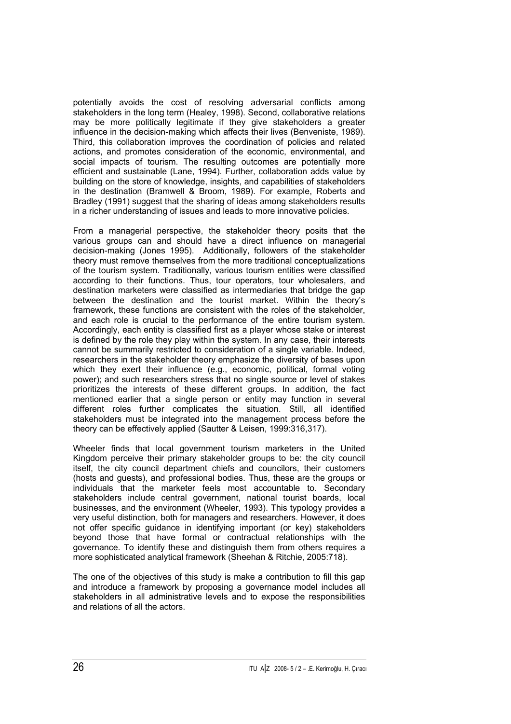potentially avoids the cost of resolving adversarial conflicts among stakeholders in the long term (Healey, 1998). Second, collaborative relations may be more politically legitimate if they give stakeholders a greater influence in the decision-making which affects their lives (Benveniste, 1989). Third, this collaboration improves the coordination of policies and related actions, and promotes consideration of the economic, environmental, and social impacts of tourism. The resulting outcomes are potentially more efficient and sustainable (Lane, 1994). Further, collaboration adds value by building on the store of knowledge, insights, and capabilities of stakeholders in the destination (Bramwell & Broom, 1989). For example, Roberts and Bradley (1991) suggest that the sharing of ideas among stakeholders results in a richer understanding of issues and leads to more innovative policies.

From a managerial perspective, the stakeholder theory posits that the various groups can and should have a direct influence on managerial decision-making (Jones 1995). Additionally, followers of the stakeholder theory must remove themselves from the more traditional conceptualizations of the tourism system. Traditionally, various tourism entities were classified according to their functions. Thus, tour operators, tour wholesalers, and destination marketers were classified as intermediaries that bridge the gap between the destination and the tourist market. Within the theory's framework, these functions are consistent with the roles of the stakeholder, and each role is crucial to the performance of the entire tourism system. Accordingly, each entity is classified first as a player whose stake or interest is defined by the role they play within the system. In any case, their interests cannot be summarily restricted to consideration of a single variable. Indeed, researchers in the stakeholder theory emphasize the diversity of bases upon which they exert their influence (e.g., economic, political, formal voting power); and such researchers stress that no single source or level of stakes prioritizes the interests of these different groups. In addition, the fact mentioned earlier that a single person or entity may function in several different roles further complicates the situation. Still, all identified stakeholders must be integrated into the management process before the theory can be effectively applied (Sautter & Leisen, 1999:316,317).

Wheeler finds that local government tourism marketers in the United Kingdom perceive their primary stakeholder groups to be: the city council itself, the city council department chiefs and councilors, their customers (hosts and guests), and professional bodies. Thus, these are the groups or individuals that the marketer feels most accountable to. Secondary stakeholders include central government, national tourist boards, local businesses, and the environment (Wheeler, 1993). This typology provides a very useful distinction, both for managers and researchers. However, it does not offer specific guidance in identifying important (or key) stakeholders beyond those that have formal or contractual relationships with the governance. To identify these and distinguish them from others requires a more sophisticated analytical framework (Sheehan & Ritchie, 2005:718).

The one of the objectives of this study is make a contribution to fill this gap and introduce a framework by proposing a governance model includes all stakeholders in all administrative levels and to expose the responsibilities and relations of all the actors.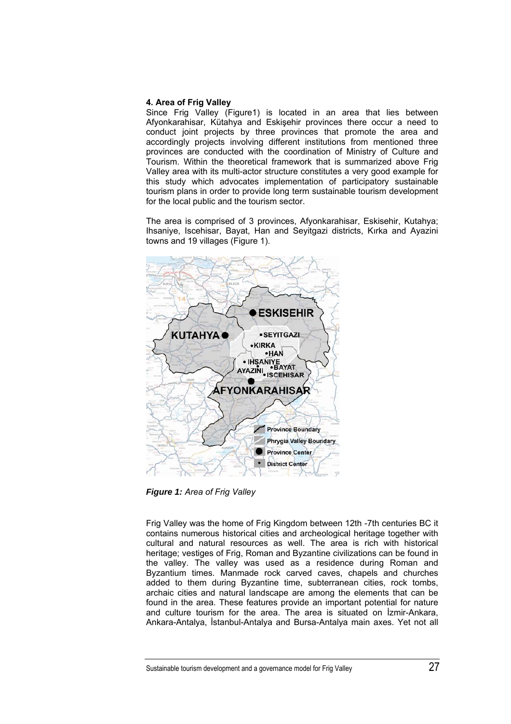## **4. Area of Frig Valley**

Since Frig Valley (Figure1) is located in an area that lies between Afyonkarahisar, Kütahya and Eskişehir provinces there occur a need to conduct joint projects by three provinces that promote the area and accordingly projects involving different institutions from mentioned three provinces are conducted with the coordination of Ministry of Culture and Tourism. Within the theoretical framework that is summarized above Frig Valley area with its multi-actor structure constitutes a very good example for this study which advocates implementation of participatory sustainable tourism plans in order to provide long term sustainable tourism development for the local public and the tourism sector.

The area is comprised of 3 provinces, Afyonkarahisar, Eskisehir, Kutahya; Ihsaniye, Iscehisar, Bayat, Han and Seyitgazi districts, Kırka and Ayazini towns and 19 villages (Figure 1).



*Figure 1: Area of Frig Valley* 

Frig Valley was the home of Frig Kingdom between 12th -7th centuries BC it contains numerous historical cities and archeological heritage together with cultural and natural resources as well. The area is rich with historical heritage; vestiges of Frig, Roman and Byzantine civilizations can be found in the valley. The valley was used as a residence during Roman and Byzantium times. Manmade rock carved caves, chapels and churches added to them during Byzantine time, subterranean cities, rock tombs, archaic cities and natural landscape are among the elements that can be found in the area. These features provide an important potential for nature and culture tourism for the area. The area is situated on İzmir-Ankara, Ankara-Antalya, İstanbul-Antalya and Bursa-Antalya main axes. Yet not all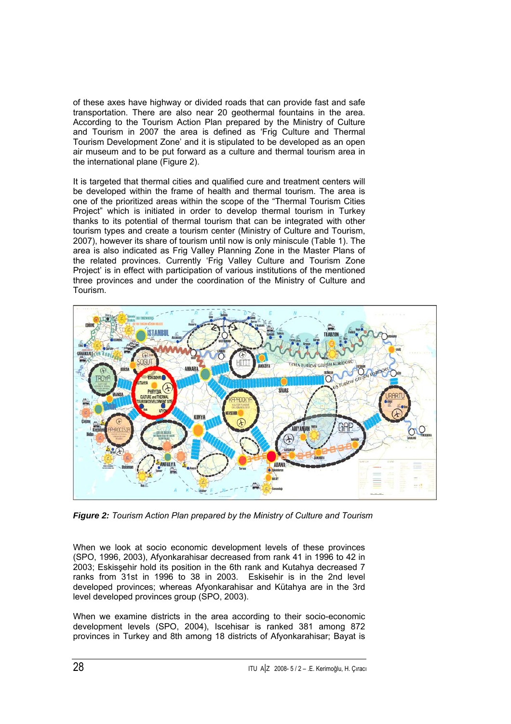of these axes have highway or divided roads that can provide fast and safe transportation. There are also near 20 geothermal fountains in the area. According to the Tourism Action Plan prepared by the Ministry of Culture and Tourism in 2007 the area is defined as 'Frig Culture and Thermal Tourism Development Zone' and it is stipulated to be developed as an open air museum and to be put forward as a culture and thermal tourism area in the international plane (Figure 2).

It is targeted that thermal cities and qualified cure and treatment centers will be developed within the frame of health and thermal tourism. The area is one of the prioritized areas within the scope of the "Thermal Tourism Cities Project" which is initiated in order to develop thermal tourism in Turkey thanks to its potential of thermal tourism that can be integrated with other tourism types and create a tourism center (Ministry of Culture and Tourism, 2007), however its share of tourism until now is only miniscule (Table 1). The area is also indicated as Frig Valley Planning Zone in the Master Plans of the related provinces. Currently 'Frig Valley Culture and Tourism Zone Project' is in effect with participation of various institutions of the mentioned three provinces and under the coordination of the Ministry of Culture and Tourism.



*Figure 2: Tourism Action Plan prepared by the Ministry of Culture and Tourism*

When we look at socio economic development levels of these provinces (SPO, 1996, 2003), Afyonkarahisar decreased from rank 41 in 1996 to 42 in 2003; Eskisşehir hold its position in the 6th rank and Kutahya decreased 7 ranks from 31st in 1996 to 38 in 2003. Eskisehir is in the 2nd level developed provinces; whereas Afyonkarahisar and Kütahya are in the 3rd level developed provinces group (SPO, 2003).

When we examine districts in the area according to their socio-economic development levels (SPO, 2004), Iscehisar is ranked 381 among 872 provinces in Turkey and 8th among 18 districts of Afyonkarahisar; Bayat is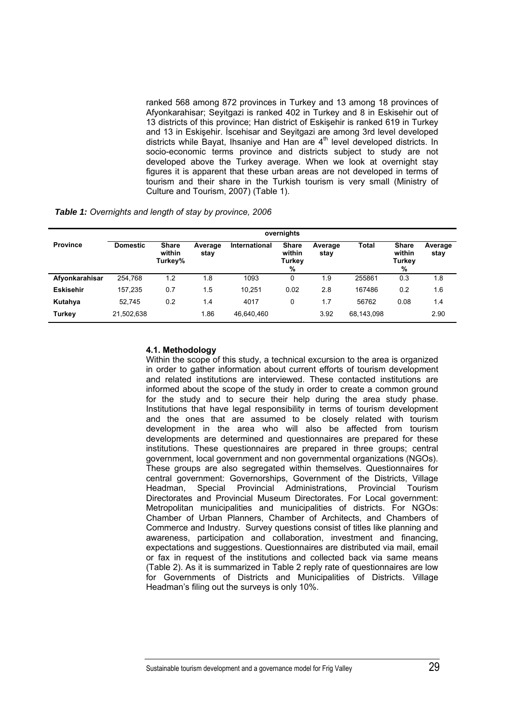ranked 568 among 872 provinces in Turkey and 13 among 18 provinces of Afyonkarahisar; Seyitgazi is ranked 402 in Turkey and 8 in Eskisehir out of 13 districts of this province; Han district of Eskişehir is ranked 619 in Turkey and 13 in Eskişehir. İscehisar and Seyitgazi are among 3rd level developed districts while Bayat, Ihsaniye and Han are  $4<sup>th</sup>$  level developed districts. In socio-economic terms province and districts subject to study are not developed above the Turkey average. When we look at overnight stay figures it is apparent that these urban areas are not developed in terms of tourism and their share in the Turkish tourism is very small (Ministry of Culture and Tourism, 2007) (Table 1).

*Table 1: Overnights and length of stay by province, 2006* 

|                  | overnights      |                                   |                 |               |                                       |                 |              |                                       |                 |
|------------------|-----------------|-----------------------------------|-----------------|---------------|---------------------------------------|-----------------|--------------|---------------------------------------|-----------------|
| <b>Province</b>  | <b>Domestic</b> | <b>Share</b><br>within<br>Turkey% | Average<br>stay | International | <b>Share</b><br>within<br>Turkey<br>% | Average<br>stav | <b>Total</b> | <b>Share</b><br>within<br>Turkey<br>% | Average<br>stay |
| Afyonkarahisar   | 254.768         | 1.2                               | 1.8             | 1093          | 0                                     | 1.9             | 255861       | 0.3                                   | 1.8             |
| <b>Eskisehir</b> | 157.235         | 0.7                               | 1.5             | 10.251        | 0.02                                  | 2.8             | 167486       | 0.2                                   | 1.6             |
| Kutahya          | 52.745          | 0.2                               | 1.4             | 4017          | 0                                     | 1.7             | 56762        | 0.08                                  | 1.4             |
| Turkey           | 21,502,638      |                                   | 1.86            | 46.640.460    |                                       | 3.92            | 68,143,098   |                                       | 2.90            |

## **4.1. Methodology**

Within the scope of this study, a technical excursion to the area is organized in order to gather information about current efforts of tourism development and related institutions are interviewed. These contacted institutions are informed about the scope of the study in order to create a common ground for the study and to secure their help during the area study phase. Institutions that have legal responsibility in terms of tourism development and the ones that are assumed to be closely related with tourism development in the area who will also be affected from tourism developments are determined and questionnaires are prepared for these institutions. These questionnaires are prepared in three groups; central government, local government and non governmental organizations (NGOs). These groups are also segregated within themselves. Questionnaires for central government: Governorships, Government of the Districts, Village Headman, Special Provincial Administrations, Provincial Tourism Directorates and Provincial Museum Directorates. For Local government: Metropolitan municipalities and municipalities of districts. For NGOs: Chamber of Urban Planners, Chamber of Architects, and Chambers of Commerce and Industry. Survey questions consist of titles like planning and awareness, participation and collaboration, investment and financing, expectations and suggestions. Questionnaires are distributed via mail, email or fax in request of the institutions and collected back via same means (Table 2). As it is summarized in Table 2 reply rate of questionnaires are low for Governments of Districts and Municipalities of Districts. Village Headman's filing out the surveys is only 10%.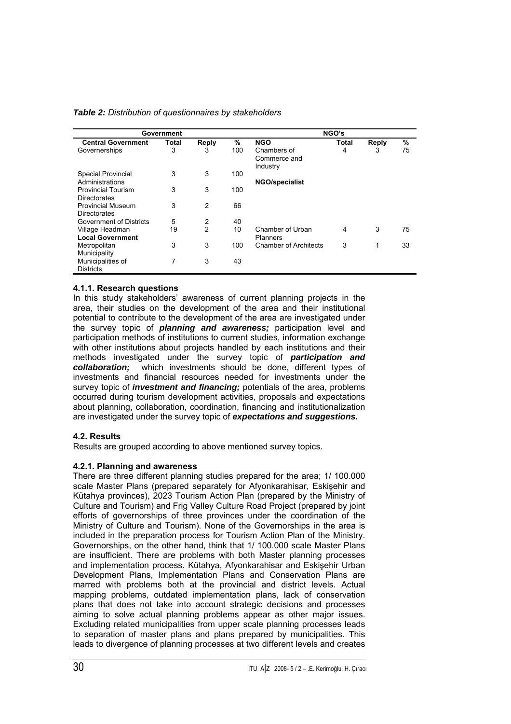| Government                | NGO's |                |      |                                         |       |       |    |
|---------------------------|-------|----------------|------|-----------------------------------------|-------|-------|----|
| <b>Central Government</b> | Total | Reply          | $\%$ | <b>NGO</b>                              | Total | Reply | %  |
| Governerships             | 3     | 3              | 100  | Chambers of<br>Commerce and<br>Industry | 4     | 3     | 75 |
| <b>Special Provincial</b> | 3     | 3              | 100  |                                         |       |       |    |
| Administrations           |       |                |      | <b>NGO/specialist</b>                   |       |       |    |
| <b>Provincial Tourism</b> | 3     | 3              | 100  |                                         |       |       |    |
| <b>Directorates</b>       |       |                |      |                                         |       |       |    |
| Provincial Museum         | 3     | 2              | 66   |                                         |       |       |    |
| <b>Directorates</b>       |       |                |      |                                         |       |       |    |
| Government of Districts   | 5     | 2              | 40   |                                         |       |       |    |
| Village Headman           | 19    | $\overline{2}$ | 10   | Chamber of Urban                        | 4     | 3     | 75 |
| <b>Local Government</b>   |       |                |      | Planners                                |       |       |    |
| Metropolitan              | 3     | 3              | 100  | <b>Chamber of Architects</b>            | 3     | 1     | 33 |
| Municipality              |       |                |      |                                         |       |       |    |
| Municipalities of         | 7     | 3              | 43   |                                         |       |       |    |
| <b>Districts</b>          |       |                |      |                                         |       |       |    |

*Table 2: Distribution of questionnaires by stakeholders* 

# **4.1.1. Research questions**

In this study stakeholders' awareness of current planning projects in the area, their studies on the development of the area and their institutional potential to contribute to the development of the area are investigated under the survey topic of *planning and awareness;* participation level and participation methods of institutions to current studies, information exchange with other institutions about projects handled by each institutions and their methods investigated under the survey topic of *participation and collaboration;* which investments should be done, different types of investments and financial resources needed for investments under the survey topic of *investment and financing;* potentials of the area, problems occurred during tourism development activities, proposals and expectations about planning, collaboration, coordination, financing and institutionalization are investigated under the survey topic of *expectations and suggestions.* 

# **4.2. Results**

Results are grouped according to above mentioned survey topics.

# **4.2.1. Planning and awareness**

There are three different planning studies prepared for the area; 1/ 100.000 scale Master Plans (prepared separately for Afyonkarahisar, Eskişehir and Kütahya provinces), 2023 Tourism Action Plan (prepared by the Ministry of Culture and Tourism) and Frig Valley Culture Road Project (prepared by joint efforts of governorships of three provinces under the coordination of the Ministry of Culture and Tourism). None of the Governorships in the area is included in the preparation process for Tourism Action Plan of the Ministry. Governorships, on the other hand, think that 1/ 100.000 scale Master Plans are insufficient. There are problems with both Master planning processes and implementation process. Kütahya, Afyonkarahisar and Eskişehir Urban Development Plans, Implementation Plans and Conservation Plans are marred with problems both at the provincial and district levels. Actual mapping problems, outdated implementation plans, lack of conservation plans that does not take into account strategic decisions and processes aiming to solve actual planning problems appear as other major issues. Excluding related municipalities from upper scale planning processes leads to separation of master plans and plans prepared by municipalities. This leads to divergence of planning processes at two different levels and creates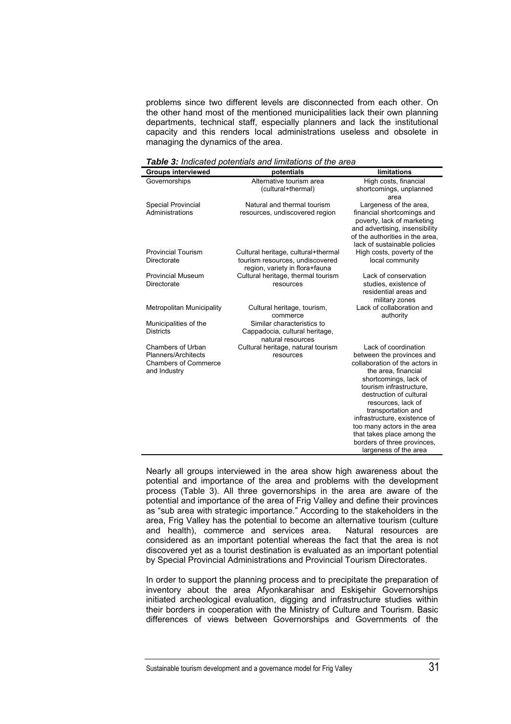problems since two different levels are disconnected from each other. On the other hand most of the mentioned municipalities lack their own planning departments, technical staff, especially planners and lack the institutional capacity and this renders local administrations useless and obsolete in managing the dynamics of the area.

*Table 3: Indicated potentials and limitations of the area* 

| <b>Groups interviewed</b>                | potentials                          | limitations                                                       |
|------------------------------------------|-------------------------------------|-------------------------------------------------------------------|
| Governorships                            | Alternative tourism area            | High costs, financial                                             |
|                                          | (cultural+thermal)                  | shortcomings, unplanned                                           |
|                                          |                                     | area                                                              |
| <b>Special Provincial</b>                | Natural and thermal tourism         | Largeness of the area,                                            |
| Administrations                          | resources, undiscovered region      | financial shortcomings and                                        |
|                                          |                                     | poverty, lack of marketing                                        |
|                                          |                                     | and advertising, insensibility<br>of the authorities in the area. |
|                                          |                                     | lack of sustainable policies                                      |
| <b>Provincial Tourism</b>                | Cultural heritage, cultural+thermal | High costs, poverty of the                                        |
| Directorate                              | tourism resources, undiscovered     | local community                                                   |
|                                          | region, variety in flora+fauna      |                                                                   |
| <b>Provincial Museum</b>                 | Cultural heritage, thermal tourism  | Lack of conservation                                              |
| Directorate                              | resources                           | studies, existence of                                             |
|                                          |                                     | residential areas and                                             |
|                                          |                                     | military zones                                                    |
| Metropolitan Municipality                | Cultural heritage, tourism,         | Lack of collaboration and                                         |
|                                          | commerce                            | authority                                                         |
| Municipalities of the                    | Similar characteristics to          |                                                                   |
| <b>Districts</b>                         | Cappadocia, cultural heritage,      |                                                                   |
|                                          | natural resources                   |                                                                   |
| Chambers of Urban<br>Planners/Architects | Cultural heritage, natural tourism  | Lack of coordination                                              |
| <b>Chambers of Commerce</b>              | resources                           | between the provinces and<br>collaboration of the actors in       |
| and Industry                             |                                     | the area, financial                                               |
|                                          |                                     | shortcomings, lack of                                             |
|                                          |                                     | tourism infrastructure.                                           |
|                                          |                                     | destruction of cultural                                           |
|                                          |                                     | resources, lack of                                                |
|                                          |                                     | transportation and                                                |
|                                          |                                     | infrastructure, existence of                                      |
|                                          |                                     | too many actors in the area                                       |
|                                          |                                     | that takes place among the                                        |
|                                          |                                     | borders of three provinces,                                       |
|                                          |                                     | largeness of the area                                             |

Nearly all groups interviewed in the area show high awareness about the potential and importance of the area and problems with the development process (Table 3). All three governorships in the area are aware of the potential and importance of the area of Frig Valley and define their provinces as "sub area with strategic importance." According to the stakeholders in the area, Frig Valley has the potential to become an alternative tourism (culture and health), commerce and services area. Natural resources are considered as an important potential whereas the fact that the area is not discovered yet as a tourist destination is evaluated as an important potential by Special Provincial Administrations and Provincial Tourism Directorates.

In order to support the planning process and to precipitate the preparation of inventory about the area Afyonkarahisar and Eskişehir Governorships initiated archeological evaluation, digging and infrastructure studies within their borders in cooperation with the Ministry of Culture and Tourism. Basic differences of views between Governorships and Governments of the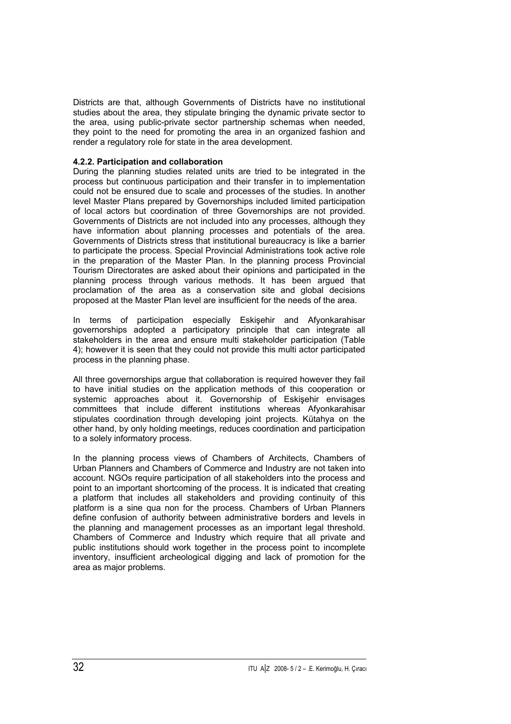Districts are that, although Governments of Districts have no institutional studies about the area, they stipulate bringing the dynamic private sector to the area, using public-private sector partnership schemas when needed, they point to the need for promoting the area in an organized fashion and render a regulatory role for state in the area development.

## **4.2.2. Participation and collaboration**

During the planning studies related units are tried to be integrated in the process but continuous participation and their transfer in to implementation could not be ensured due to scale and processes of the studies. In another level Master Plans prepared by Governorships included limited participation of local actors but coordination of three Governorships are not provided. Governments of Districts are not included into any processes, although they have information about planning processes and potentials of the area. Governments of Districts stress that institutional bureaucracy is like a barrier to participate the process. Special Provincial Administrations took active role in the preparation of the Master Plan. In the planning process Provincial Tourism Directorates are asked about their opinions and participated in the planning process through various methods. It has been argued that proclamation of the area as a conservation site and global decisions proposed at the Master Plan level are insufficient for the needs of the area.

In terms of participation especially Eskişehir and Afyonkarahisar governorships adopted a participatory principle that can integrate all stakeholders in the area and ensure multi stakeholder participation (Table 4); however it is seen that they could not provide this multi actor participated process in the planning phase.

All three governorships argue that collaboration is required however they fail to have initial studies on the application methods of this cooperation or systemic approaches about it. Governorship of Eskişehir envisages committees that include different institutions whereas Afyonkarahisar stipulates coordination through developing joint projects. Kütahya on the other hand, by only holding meetings, reduces coordination and participation to a solely informatory process.

In the planning process views of Chambers of Architects, Chambers of Urban Planners and Chambers of Commerce and Industry are not taken into account. NGOs require participation of all stakeholders into the process and point to an important shortcoming of the process. It is indicated that creating a platform that includes all stakeholders and providing continuity of this platform is a sine qua non for the process. Chambers of Urban Planners define confusion of authority between administrative borders and levels in the planning and management processes as an important legal threshold. Chambers of Commerce and Industry which require that all private and public institutions should work together in the process point to incomplete inventory, insufficient archeological digging and lack of promotion for the area as major problems.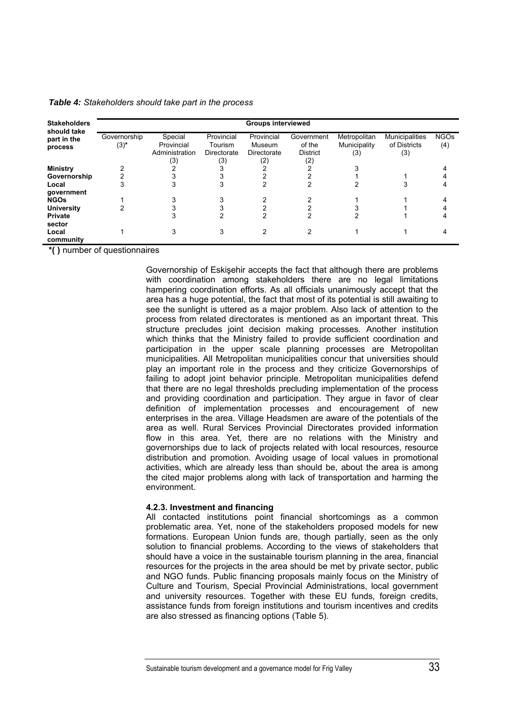*Table 4: Stakeholders should take part in the process* 

| <b>Stakeholders</b>                   | <b>Groups interviewed</b> |                                                |                                             |                                            |                                                |                                     |                                       |                    |  |
|---------------------------------------|---------------------------|------------------------------------------------|---------------------------------------------|--------------------------------------------|------------------------------------------------|-------------------------------------|---------------------------------------|--------------------|--|
| should take<br>part in the<br>process | Governorship<br>$(3)^{*}$ | Special<br>Provincial<br>Administration<br>(3) | Provincial<br>Tourism<br>Directorate<br>(3) | Provincial<br>Museum<br>Directorate<br>(2) | Government<br>of the<br><b>District</b><br>(2) | Metropolitan<br>Municipality<br>(3) | Municipalities<br>of Districts<br>(3) | <b>NGOs</b><br>(4) |  |
| <b>Ministry</b>                       |                           |                                                |                                             |                                            |                                                |                                     |                                       |                    |  |
| Governorship                          |                           |                                                |                                             |                                            |                                                |                                     |                                       |                    |  |
| Local                                 |                           |                                                |                                             |                                            |                                                |                                     |                                       |                    |  |
| government                            |                           |                                                |                                             |                                            |                                                |                                     |                                       |                    |  |
| <b>NGOs</b>                           |                           |                                                |                                             |                                            |                                                |                                     |                                       |                    |  |
| <b>University</b>                     |                           |                                                |                                             |                                            |                                                |                                     |                                       |                    |  |
| Private                               |                           |                                                |                                             |                                            |                                                |                                     |                                       |                    |  |
| sector                                |                           |                                                |                                             |                                            |                                                |                                     |                                       |                    |  |
| Local                                 |                           |                                                | 3                                           | 2                                          | 2                                              |                                     |                                       |                    |  |
| community                             |                           |                                                |                                             |                                            |                                                |                                     |                                       |                    |  |

**\*( )** number of questionnaires

Governorship of Eskişehir accepts the fact that although there are problems with coordination among stakeholders there are no legal limitations hampering coordination efforts. As all officials unanimously accept that the area has a huge potential, the fact that most of its potential is still awaiting to see the sunlight is uttered as a major problem. Also lack of attention to the process from related directorates is mentioned as an important threat. This structure precludes joint decision making processes. Another institution which thinks that the Ministry failed to provide sufficient coordination and participation in the upper scale planning processes are Metropolitan municipalities. All Metropolitan municipalities concur that universities should play an important role in the process and they criticize Governorships of failing to adopt joint behavior principle. Metropolitan municipalities defend that there are no legal thresholds precluding implementation of the process and providing coordination and participation. They argue in favor of clear definition of implementation processes and encouragement of new enterprises in the area. Village Headsmen are aware of the potentials of the area as well. Rural Services Provincial Directorates provided information flow in this area. Yet, there are no relations with the Ministry and governorships due to lack of projects related with local resources, resource distribution and promotion. Avoiding usage of local values in promotional activities, which are already less than should be, about the area is among the cited major problems along with lack of transportation and harming the environment.

#### **4.2.3. Investment and financing**

All contacted institutions point financial shortcomings as a common problematic area. Yet, none of the stakeholders proposed models for new formations. European Union funds are, though partially, seen as the only solution to financial problems. According to the views of stakeholders that should have a voice in the sustainable tourism planning in the area, financial resources for the projects in the area should be met by private sector, public and NGO funds. Public financing proposals mainly focus on the Ministry of Culture and Tourism, Special Provincial Administrations, local government and university resources. Together with these EU funds, foreign credits, assistance funds from foreign institutions and tourism incentives and credits are also stressed as financing options (Table 5).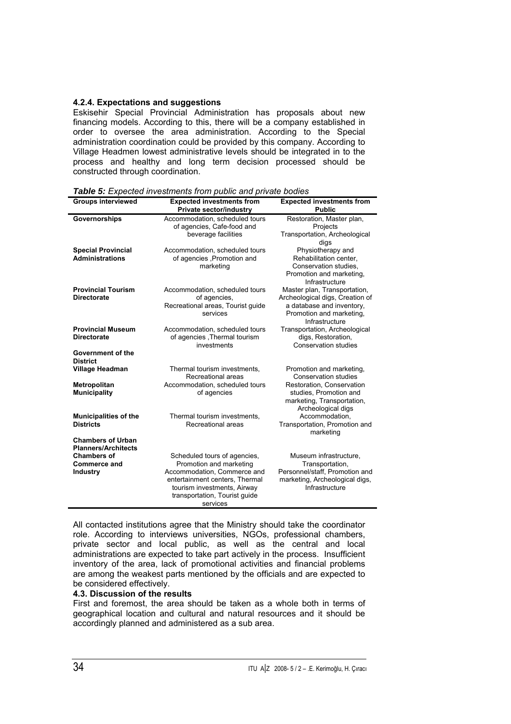# **4.2.4. Expectations and suggestions**

Eskisehir Special Provincial Administration has proposals about new financing models. According to this, there will be a company established in order to oversee the area administration. According to the Special administration coordination could be provided by this company. According to Village Headmen lowest administrative levels should be integrated in to the process and healthy and long term decision processed should be constructed through coordination.

| <b>Groups interviewed</b>                                                                                              | <b>Expected investments from</b><br><b>Private sector/industry</b>                                                                                      | <b>Expected investments from</b><br><b>Public</b>                                                                                          |  |  |  |
|------------------------------------------------------------------------------------------------------------------------|---------------------------------------------------------------------------------------------------------------------------------------------------------|--------------------------------------------------------------------------------------------------------------------------------------------|--|--|--|
| Governorships                                                                                                          | Accommodation, scheduled tours<br>of agencies, Cafe-food and<br>beverage facilities                                                                     | Restoration, Master plan,<br>Projects<br>Transportation, Archeological<br>digs                                                             |  |  |  |
| <b>Special Provincial</b><br><b>Administrations</b>                                                                    | Accommodation, scheduled tours<br>of agencies , Promotion and<br>marketing                                                                              | Physiotherapy and<br>Rehabilitation center,<br>Conservation studies,<br>Promotion and marketing,<br>Infrastructure                         |  |  |  |
| <b>Provincial Tourism</b><br><b>Directorate</b>                                                                        | Accommodation, scheduled tours<br>of agencies,<br>Recreational areas, Tourist guide<br>services                                                         | Master plan, Transportation,<br>Archeological digs, Creation of<br>a database and inventory,<br>Promotion and marketing.<br>Infrastructure |  |  |  |
| <b>Provincial Museum</b><br><b>Directorate</b>                                                                         | Accommodation, scheduled tours<br>of agencies , Thermal tourism<br>investments                                                                          | Transportation, Archeological<br>digs, Restoration,<br>Conservation studies                                                                |  |  |  |
| Government of the<br><b>District</b>                                                                                   |                                                                                                                                                         |                                                                                                                                            |  |  |  |
| <b>Village Headman</b>                                                                                                 | Thermal tourism investments,<br>Recreational areas                                                                                                      | Promotion and marketing,<br><b>Conservation studies</b>                                                                                    |  |  |  |
| Metropolitan<br><b>Municipality</b>                                                                                    | Accommodation, scheduled tours<br>of agencies                                                                                                           | Restoration, Conservation<br>studies, Promotion and<br>marketing, Transportation,<br>Archeological digs                                    |  |  |  |
| <b>Municipalities of the</b><br><b>Districts</b>                                                                       | Thermal tourism investments,<br>Recreational areas                                                                                                      | Accommodation,<br>Transportation, Promotion and<br>marketing                                                                               |  |  |  |
| <b>Chambers of Urban</b><br><b>Planners/Architects</b><br><b>Chambers of</b><br><b>Commerce and</b><br><b>Industry</b> | Scheduled tours of agencies,<br>Promotion and marketing<br>Accommodation, Commerce and<br>entertainment centers, Thermal<br>tourism investments, Airway | Museum infrastructure,<br>Transportation,<br>Personnel/staff, Promotion and<br>marketing, Archeological digs,<br>Infrastructure            |  |  |  |
|                                                                                                                        | transportation, Tourist guide<br>services                                                                                                               |                                                                                                                                            |  |  |  |

*Table 5: Expected investments from public and private bodies*

All contacted institutions agree that the Ministry should take the coordinator role. According to interviews universities, NGOs, professional chambers, private sector and local public, as well as the central and local administrations are expected to take part actively in the process. Insufficient inventory of the area, lack of promotional activities and financial problems are among the weakest parts mentioned by the officials and are expected to be considered effectively.

### **4.3. Discussion of the results**

First and foremost, the area should be taken as a whole both in terms of geographical location and cultural and natural resources and it should be accordingly planned and administered as a sub area.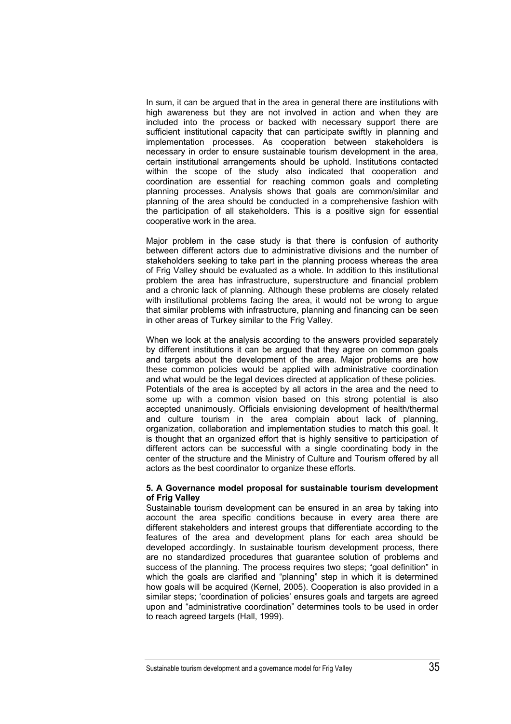In sum, it can be argued that in the area in general there are institutions with high awareness but they are not involved in action and when they are included into the process or backed with necessary support there are sufficient institutional capacity that can participate swiftly in planning and implementation processes. As cooperation between stakeholders is necessary in order to ensure sustainable tourism development in the area, certain institutional arrangements should be uphold. Institutions contacted within the scope of the study also indicated that cooperation and coordination are essential for reaching common goals and completing planning processes. Analysis shows that goals are common/similar and planning of the area should be conducted in a comprehensive fashion with the participation of all stakeholders. This is a positive sign for essential cooperative work in the area.

Major problem in the case study is that there is confusion of authority between different actors due to administrative divisions and the number of stakeholders seeking to take part in the planning process whereas the area of Frig Valley should be evaluated as a whole. In addition to this institutional problem the area has infrastructure, superstructure and financial problem and a chronic lack of planning. Although these problems are closely related with institutional problems facing the area, it would not be wrong to argue that similar problems with infrastructure, planning and financing can be seen in other areas of Turkey similar to the Frig Valley.

When we look at the analysis according to the answers provided separately by different institutions it can be argued that they agree on common goals and targets about the development of the area. Major problems are how these common policies would be applied with administrative coordination and what would be the legal devices directed at application of these policies. Potentials of the area is accepted by all actors in the area and the need to some up with a common vision based on this strong potential is also accepted unanimously. Officials envisioning development of health/thermal and culture tourism in the area complain about lack of planning, organization, collaboration and implementation studies to match this goal. It is thought that an organized effort that is highly sensitive to participation of different actors can be successful with a single coordinating body in the center of the structure and the Ministry of Culture and Tourism offered by all actors as the best coordinator to organize these efforts.

### **5. A Governance model proposal for sustainable tourism development of Frig Valley**

Sustainable tourism development can be ensured in an area by taking into account the area specific conditions because in every area there are different stakeholders and interest groups that differentiate according to the features of the area and development plans for each area should be developed accordingly. In sustainable tourism development process, there are no standardized procedures that guarantee solution of problems and success of the planning. The process requires two steps; "goal definition" in which the goals are clarified and "planning" step in which it is determined how goals will be acquired (Kernel, 2005). Cooperation is also provided in a similar steps; 'coordination of policies' ensures goals and targets are agreed upon and "administrative coordination" determines tools to be used in order to reach agreed targets (Hall, 1999).

Sustainable tourism development and a governance model for Frig Valley 35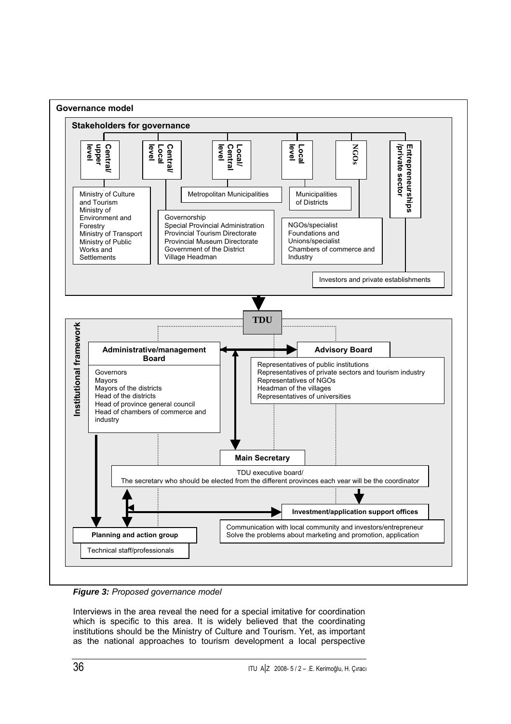

*Figure 3: Proposed governance model* 

Interviews in the area reveal the need for a special imitative for coordination which is specific to this area. It is widely believed that the coordinating institutions should be the Ministry of Culture and Tourism. Yet, as important as the national approaches to tourism development a local perspective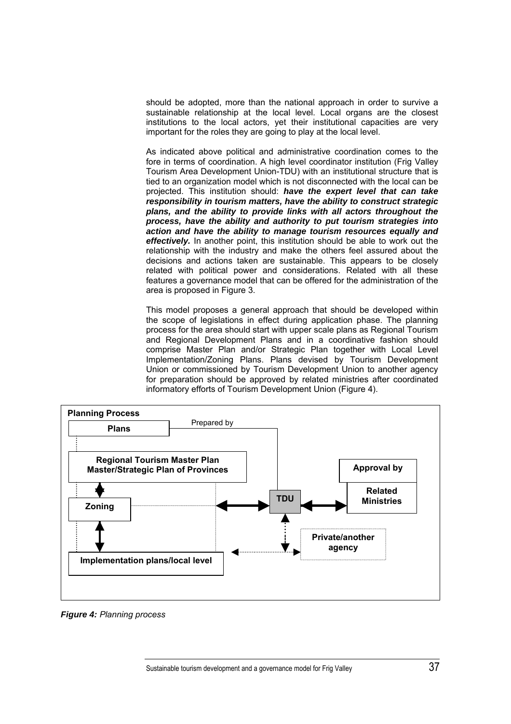should be adopted, more than the national approach in order to survive a sustainable relationship at the local level. Local organs are the closest institutions to the local actors, yet their institutional capacities are very important for the roles they are going to play at the local level.

As indicated above political and administrative coordination comes to the fore in terms of coordination. A high level coordinator institution (Frig Valley Tourism Area Development Union-TDU) with an institutional structure that is tied to an organization model which is not disconnected with the local can be projected. This institution should: *have the expert level that can take responsibility in tourism matters, have the ability to construct strategic plans, and the ability to provide links with all actors throughout the process, have the ability and authority to put tourism strategies into action and have the ability to manage tourism resources equally and effectively.* In another point, this institution should be able to work out the relationship with the industry and make the others feel assured about the decisions and actions taken are sustainable. This appears to be closely related with political power and considerations. Related with all these features a governance model that can be offered for the administration of the area is proposed in Figure 3.

This model proposes a general approach that should be developed within the scope of legislations in effect during application phase. The planning process for the area should start with upper scale plans as Regional Tourism and Regional Development Plans and in a coordinative fashion should comprise Master Plan and/or Strategic Plan together with Local Level Implementation/Zoning Plans. Plans devised by Tourism Development Union or commissioned by Tourism Development Union to another agency for preparation should be approved by related ministries after coordinated informatory efforts of Tourism Development Union (Figure 4).



*Figure 4: Planning process*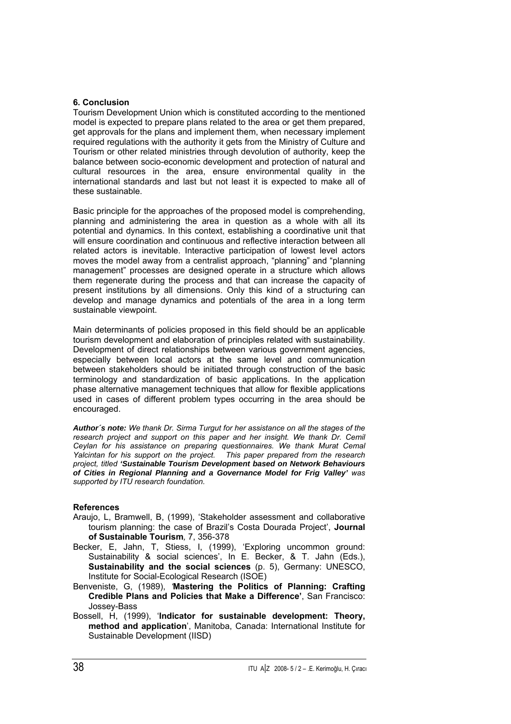## **6. Conclusion**

Tourism Development Union which is constituted according to the mentioned model is expected to prepare plans related to the area or get them prepared, get approvals for the plans and implement them, when necessary implement required regulations with the authority it gets from the Ministry of Culture and Tourism or other related ministries through devolution of authority, keep the balance between socio-economic development and protection of natural and cultural resources in the area, ensure environmental quality in the international standards and last but not least it is expected to make all of these sustainable.

Basic principle for the approaches of the proposed model is comprehending, planning and administering the area in question as a whole with all its potential and dynamics. In this context, establishing a coordinative unit that will ensure coordination and continuous and reflective interaction between all related actors is inevitable. Interactive participation of lowest level actors moves the model away from a centralist approach, "planning" and "planning management" processes are designed operate in a structure which allows them regenerate during the process and that can increase the capacity of present institutions by all dimensions. Only this kind of a structuring can develop and manage dynamics and potentials of the area in a long term sustainable viewpoint.

Main determinants of policies proposed in this field should be an applicable tourism development and elaboration of principles related with sustainability. Development of direct relationships between various government agencies, especially between local actors at the same level and communication between stakeholders should be initiated through construction of the basic terminology and standardization of basic applications. In the application phase alternative management techniques that allow for flexible applications used in cases of different problem types occurring in the area should be encouraged.

*Author´s note: We thank Dr. Sirma Turgut for her assistance on all the stages of the research project and support on this paper and her insight. We thank Dr. Cemil Ceylan for his assistance on preparing questionnaires. We thank Murat Cemal Yalcintan for his support on the project. This paper prepared from the research project, titled 'Sustainable Tourism Development based on Network Behaviours of Cities in Regional Planning and a Governance Model for Frig Valley' was supported by ITU research foundation.* 

### **References**

- Araujo, L, Bramwell, B, (1999), 'Stakeholder assessment and collaborative tourism planning: the case of Brazil's Costa Dourada Project', **Journal of Sustainable Tourism***,* 7, 356-378
- Becker, E, Jahn, T, Stiess, I, (1999), 'Exploring uncommon ground: Sustainability & social sciences', In E. Becker, & T. Jahn (Eds.), **Sustainability and the social sciences** (p. 5), Germany: UNESCO, Institute for Social-Ecological Research (ISOE)
- Benveniste, G, (1989), *'***Mastering the Politics of Planning: Crafting Credible Plans and Policies that Make a Difference'**, San Francisco: Jossey-Bass
- Bossell, H, (1999), '**Indicator for sustainable development: Theory, method and application**', Manitoba, Canada: International Institute for Sustainable Development (IISD)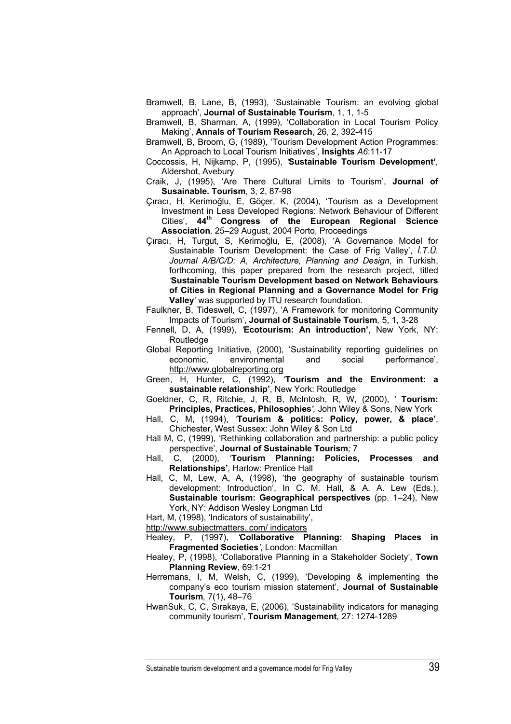- Bramwell, B, Lane, B, (1993), 'Sustainable Tourism: an evolving global approach', **Journal of Sustainable Tourism***,* 1, 1, 1-5
- Bramwell, B, Sharman, A, (1999), 'Collaboration in Local Tourism Policy Making', **Annals of Tourism Research**, 26, 2, 392-415
- Bramwell, B, Broom, G, (1989), 'Tourism Development Action Programmes: An Approach to Local Tourism Initiatives', **Insights** *A6*:11-17
- Coccossis, H, Nijkamp, P, (1995), *'***Sustainable Tourism Development'***,* Aldershot, Avebury
- Craik, J, (1995), 'Are There Cultural Limits to Tourism', **Journal of Susainable. Tourism**, 3, 2, 87-98
- Çıracı, H, Kerimoğlu, E, Göçer, K, (2004), 'Tourism as a Development Investment in Less Developed Regions: Network Behaviour of Different Cities', **44th Congress of the European Regional Science Association***,* 25–29 August, 2004 Porto, Proceedings
- Çıracı, H, Turgut, S, Kerimoğlu, E, (2008), 'A Governance Model for Sustainable Tourism Development: the Case of Frig Valley', *İ.T.Ü. Journal A/B/C/D: A, Architecture, Planning and Design*, in Turkish, forthcoming, this paper prepared from the research project, titled *'***Sustainable Tourism Development based on Network Behaviours of Cities in Regional Planning and a Governance Model for Frig Valley***'* was supported by ITU research foundation.
- Faulkner, B, Tideswell, C, (1997), 'A Framework for monitoring Community Impacts of Tourism', **Journal of Sustainable Tourism***,* 5, 1, 3-28
- Fennell, D, A, (1999), *'***Ecotourism: An introduction'**, New York, NY: Routledge
- Global Reporting Initiative, (2000), 'Sustainability reporting guidelines on economic, environmental and social performance', http://www.globalreporting.org
- Green, H, Hunter, C, (1992), '**Tourism and the Environment: a sustainable relationship'**, New York: Routledge
- Goeldner, C, R, Ritchie, J, R, B, McIntosh, R, W, (2000), ' **Tourism: Principles, Practices, Philosophies***',* John Wiley & Sons, New York
- Hall, C, M, (1994), *'***Tourism & politics: Policy, power, & place'**, Chichester, West Sussex: John Wiley & Son Ltd
- Hall M, C, (1999), 'Rethinking collaboration and partnership: a public policy perspective', **Journal of Sustainable Tourism***;* 7
- Hall, C, (2000), '**Tourism Planning: Policies, Processes and Relationships'***,* Harlow: Prentice Hall
- Hall, C, M, Lew, A, A, (1998), 'the geography of sustainable tourism development: Introduction', In C. M. Hall, & A. A. Lew (Eds.), **Sustainable tourism: Geographical perspectives** (pp. 1–24), New York, NY: Addison Wesley Longman Ltd
- Hart, M, (1998), 'Indicators of sustainability',
- [http://www.subjectmatters.](http://www.subjectmatters/) com/ indicators
- Healey, P, (1997), *'***Collaborative Planning: Shaping Places in Fragmented Societies***'*, London: Macmillan
- Healey, P, (1998), 'Collaborative Planning in a Stakeholder Society', **Town Planning Review***,* 69:1-21
- Herremans, I, M, Welsh, C, (1999), 'Developing & implementing the company's eco tourism mission statement', **Journal of Sustainable Tourism***,* 7(1), 48–76
- HwanSuk, C, C, Sırakaya, E, (2006), 'Sustainability indicators for managing community tourism', **Tourism Management***,* 27: 1274-1289

Sustainable tourism development and a governance model for Frig Valley 39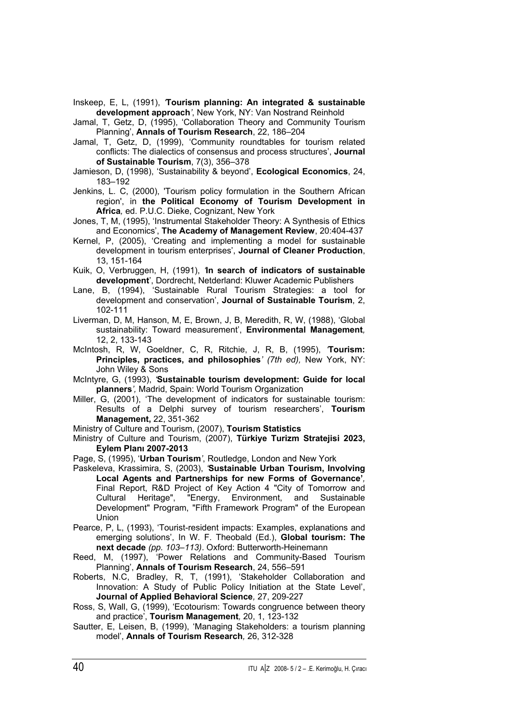Inskeep, E, L, (1991), *'***Tourism planning: An integrated & sustainable development approach***'*, New York, NY: Van Nostrand Reinhold

Jamal, T, Getz, D, (1995), 'Collaboration Theory and Community Tourism Planning', **Annals of Tourism Research**, 22, 186–204

- Jamal, T, Getz, D, (1999), 'Community roundtables for tourism related conflicts: The dialectics of consensus and process structures', **Journal of Sustainable Tourism**, 7(3), 356–378
- Jamieson, D, (1998), 'Sustainability & beyond', **Ecological Economics**, 24, 183–192
- Jenkins, L. C, (2000), 'Tourism policy formulation in the Southern African region', in **the Political Economy of Tourism Development in Africa***,* ed. P.U.C. Dieke, Cognizant, New York

Jones, T, M, (1995), 'Instrumental Stakeholder Theory: A Synthesis of Ethics and Economics', **The Academy of Management Review**, 20:404-437

- Kernel, P, (2005), 'Creating and implementing a model for sustainable development in tourism enterprises', **Journal of Cleaner Production**, 13, 151-164
- Kuik, O, Verbruggen, H, (1991), *'***In search of indicators of sustainable development**', Dordrecht, Netderland: Kluwer Academic Publishers
- Lane, B, (1994), 'Sustainable Rural Tourism Strategies: a tool for development and conservation', **Journal of Sustainable Tourism**, 2, 102-111
- Liverman, D, M, Hanson, M, E, Brown, J, B, Meredith, R, W, (1988), 'Global sustainability: Toward measurement', **Environmental Management***,* 12, 2, 133-143
- McIntosh, R, W, Goeldner, C, R, Ritchie, J, R, B, (1995), *'***Tourism: Principles, practices, and philosophies***' (7th ed),* New York, NY: John Wiley & Sons
- McIntyre, G, (1993), *'***Sustainable tourism development: Guide for local planners***',* Madrid, Spain: World Tourism Organization
- Miller, G, (2001), 'The development of indicators for sustainable tourism: Results of a Delphi survey of tourism researchers', **Tourism Management,** 22, 351-362

Ministry of Culture and Tourism, (2007), **Tourism Statistics**

- Ministry of Culture and Tourism, (2007), **Türkiye Turizm Stratejisi 2023, Eylem Planı 2007-2013**
- Page, S, (1995), '**Urban Tourism***'*, Routledge, London and New York
- Paskeleva, Krassimira, S, (2003), *'***Sustainable Urban Tourism, Involving Local Agents and Partnerships for new Forms of Governance'***,* Final Report, R&D Project of Key Action 4 "City of Tomorrow and Cultural Heritage", "Energy, Environment, and Sustainable Development" Program, "Fifth Framework Program" of the European Union
- Pearce, P, L, (1993), 'Tourist-resident impacts: Examples, explanations and emerging solutions', In W. F. Theobald (Ed.), **Global tourism: The next decade** *(pp. 103–113)*. Oxford: Butterworth-Heinemann
- Reed, M, (1997), 'Power Relations and Community-Based Tourism Planning', **Annals of Tourism Research**, 24, 556–591
- Roberts, N.C, Bradley, R, T, (1991), 'Stakeholder Collaboration and Innovation: A Study of Public Policy Initiation at the State Level', **Journal of Applied Behavioral Science***,* 27, 209-227
- Ross, S, Wall, G, (1999), 'Ecotourism: Towards congruence between theory and practice', **Tourism Management***,* 20, 1, 123-132
- Sautter, E, Leisen, B, (1999), 'Managing Stakeholders: a tourism planning model', **Annals of Tourism Research***,* 26, 312-328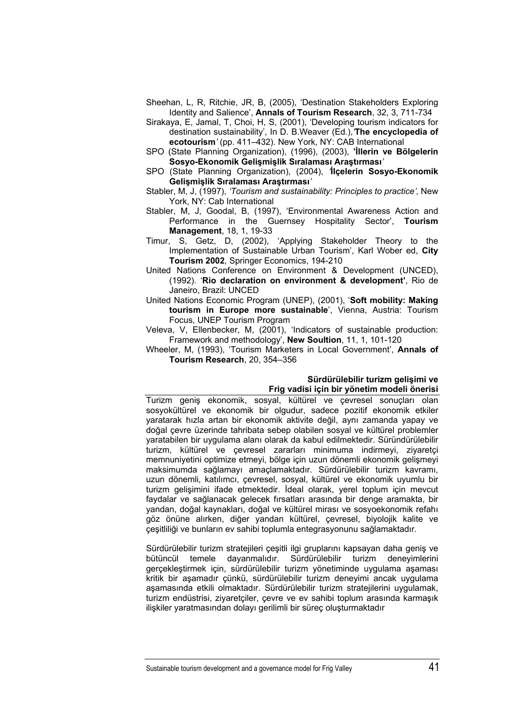- Sheehan, L, R, Ritchie, JR, B, (2005), 'Destination Stakeholders Exploring Identity and Salience', **Annals of Tourism Research**, 32, 3, 711-734
- Sirakaya, E, Jamal, T, Choi, H, S, (2001), 'Developing tourism indicators for destination sustainability', In D. B.Weaver (Ed.),*'***The encyclopedia of ecotourism***'* (pp. 411–432). New York, NY: CAB International
- SPO (State Planning Organization), (1996), (2003), **'İllerin ve Bölgelerin Sosyo-Ekonomik Gelişmişlik Sıralaması Araştırması***'*
- SPO (State Planning Organization), (2004), *'***İlçelerin Sosyo-Ekonomik Gelişmişlik Sıralaması Araştırması***'*
- Stabler, M, J, (1997), *'Tourism and sustainability: Principles to practice'*, New York, NY: Cab International
- Stabler, M, J, Goodal, B, (1997), 'Environmental Awareness Action and Performance in the Guernsey Hospitality Sector', **Tourism Management**, 18, 1, 19-33
- Timur, S, Getz, D, (2002), 'Applying Stakeholder Theory to the Implementation of Sustainable Urban Tourism', Karl Wober ed, **City Tourism 2002***,* Springer Economics, 194-210
- United Nations Conference on Environment & Development (UNCED), (1992). '**Rio declaration on environment & development'**, Rio de Janeiro, Brazil: UNCED
- United Nations Economic Program (UNEP), (2001), '**Soft mobility: Making tourism in Europe more sustainable**', Vienna, Austria: Tourism Focus, UNEP Tourism Program
- Veleva, V, Ellenbecker, M, (2001), 'Indicators of sustainable production: Framework and methodology', **New Soultion**, 11, 1, 101-120
- Wheeler, M, (1993), 'Tourism Marketers in Local Government', **Annals of Tourism Research**, 20, 354–356

#### **Sürdürülebilir turizm gelişimi ve Frig vadisi için bir yönetim modeli önerisi**

Turizm geniş ekonomik, sosyal, kültürel ve çevresel sonuçları olan sosyokültürel ve ekonomik bir olgudur, sadece pozitif ekonomik etkiler yaratarak hızla artan bir ekonomik aktivite değil, aynı zamanda yapay ve doğal çevre üzerinde tahribata sebep olabilen sosyal ve kültürel problemler yaratabilen bir uygulama alanı olarak da kabul edilmektedir. Süründürülebilir turizm, kültürel ve çevresel zararları minimuma indirmeyi, ziyaretçi memnuniyetini optimize etmeyi, bölge için uzun dönemli ekonomik gelişmeyi maksimumda sağlamayı amaçlamaktadır. Sürdürülebilir turizm kavramı, uzun dönemli, katılımcı, çevresel, sosyal, kültürel ve ekonomik uyumlu bir turizm gelişimini ifade etmektedir. İdeal olarak, yerel toplum için mevcut faydalar ve sağlanacak gelecek fırsatları arasında bir denge aramakta, bir yandan, doğal kaynakları, doğal ve kültürel mirası ve sosyoekonomik refahı göz önüne alırken, diğer yandan kültürel, çevresel, biyolojik kalite ve çeşitliliği ve bunların ev sahibi toplumla entegrasyonunu sağlamaktadır.

Sürdürülebilir turizm stratejileri çeşitli ilgi gruplarını kapsayan daha geniş ve bütüncül temele dayanmalıdır. Sürdürülebilir turizm deneyimlerini gerçekleştirmek için, sürdürülebilir turizm yönetiminde uygulama aşaması kritik bir aşamadır çünkü, sürdürülebilir turizm deneyimi ancak uygulama aşamasında etkili olmaktadır. Sürdürülebilir turizm stratejilerini uygulamak, turizm endüstrisi, ziyaretçiler, çevre ve ev sahibi toplum arasında karmaşık ilişkiler yaratmasından dolayı gerilimli bir süreç oluşturmaktadır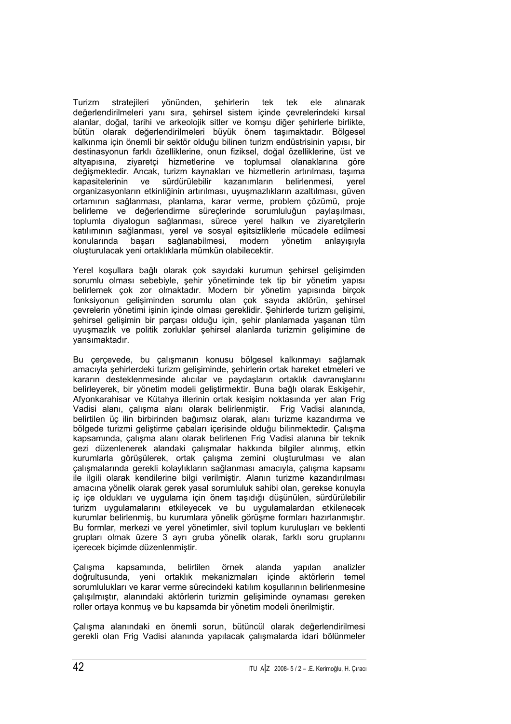Turizm stratejileri yönünden, şehirlerin tek tek ele alınarak değerlendirilmeleri yanı sıra, şehirsel sistem içinde çevrelerindeki kırsal alanlar, doğal, tarihi ve arkeolojik sitler ve komşu diğer şehirlerle birlikte, bütün olarak değerlendirilmeleri büyük önem taşımaktadır. Bölgesel kalkınma için önemli bir sektör olduğu bilinen turizm endüstrisinin yapısı, bir destinasyonun farklı özelliklerine, onun fiziksel, doğal özelliklerine, üst ve altyapısına, ziyaretçi hizmetlerine ve toplumsal olanaklarına göre değişmektedir. Ancak, turizm kaynakları ve hizmetlerin artırılması, taşıma kapasitelerinin ve sürdürülebilir kazanımların belirlenmesi, yerel organizasyonların etkinliğinin artırılması, uyuşmazlıkların azaltılması, güven ortamının sağlanması, planlama, karar verme, problem çözümü, proje belirleme ve değerlendirme süreçlerinde sorumluluğun paylaşılması, toplumla diyalogun sağlanması, sürece yerel halkın ve ziyaretçilerin katılımının sağlanması, yerel ve sosyal eşitsizliklerle mücadele edilmesi konularında başarı sağlanabilmesi, modern yönetim anlayışıyla oluşturulacak yeni ortaklıklarla mümkün olabilecektir.

Yerel koşullara bağlı olarak çok sayıdaki kurumun şehirsel gelişimden sorumlu olması sebebiyle, şehir yönetiminde tek tip bir yönetim yapısı belirlemek çok zor olmaktadır. Modern bir yönetim yapısında birçok fonksiyonun gelişiminden sorumlu olan çok sayıda aktörün, şehirsel çevrelerin yönetimi işinin içinde olması gereklidir. Şehirlerde turizm gelişimi, şehirsel gelişimin bir parçası olduğu için, şehir planlamada yaşanan tüm uyuşmazlık ve politik zorluklar şehirsel alanlarda turizmin gelişimine de yansımaktadır.

Bu çerçevede, bu çalışmanın konusu bölgesel kalkınmayı sağlamak amacıyla şehirlerdeki turizm gelişiminde, şehirlerin ortak hareket etmeleri ve kararın desteklenmesinde alıcılar ve paydaşların ortaklık davranışlarını belirleyerek, bir yönetim modeli geliştirmektir. Buna bağlı olarak Eskişehir, Afyonkarahisar ve Kütahya illerinin ortak kesişim noktasında yer alan Frig Vadisi alanı, çalışma alanı olarak belirlenmiştir. Frig Vadisi alanında, belirtilen üç ilin birbirinden bağımsız olarak, alanı turizme kazandırma ve bölgede turizmi geliştirme çabaları içerisinde olduğu bilinmektedir. Çalışma kapsamında, çalışma alanı olarak belirlenen Frig Vadisi alanına bir teknik gezi düzenlenerek alandaki çalışmalar hakkında bilgiler alınmış, etkin kurumlarla görüşülerek, ortak çalışma zemini oluşturulması ve alan çalışmalarında gerekli kolaylıkların sağlanması amacıyla, çalışma kapsamı ile ilgili olarak kendilerine bilgi verilmiştir. Alanın turizme kazandırılması amacına yönelik olarak gerek yasal sorumluluk sahibi olan, gerekse konuyla iç içe oldukları ve uygulama için önem taşıdığı düşünülen, sürdürülebilir turizm uygulamalarını etkileyecek ve bu uygulamalardan etkilenecek kurumlar belirlenmiş, bu kurumlara yönelik görüşme formları hazırlanmıştır. Bu formlar, merkezi ve yerel yönetimler, sivil toplum kuruluşları ve beklenti grupları olmak üzere 3 ayrı gruba yönelik olarak, farklı soru gruplarını içerecek biçimde düzenlenmiştir.

Çalışma kapsamında, belirtilen örnek alanda yapılan analizler doğrultusunda, yeni ortaklık mekanizmaları içinde aktörlerin temel sorumlulukları ve karar verme sürecindeki katılım koşullarının belirlenmesine çalışılmıştır, alanındaki aktörlerin turizmin gelişiminde oynaması gereken roller ortaya konmuş ve bu kapsamda bir yönetim modeli önerilmiştir.

Çalışma alanındaki en önemli sorun, bütüncül olarak değerlendirilmesi gerekli olan Frig Vadisi alanında yapılacak çalışmalarda idari bölünmeler